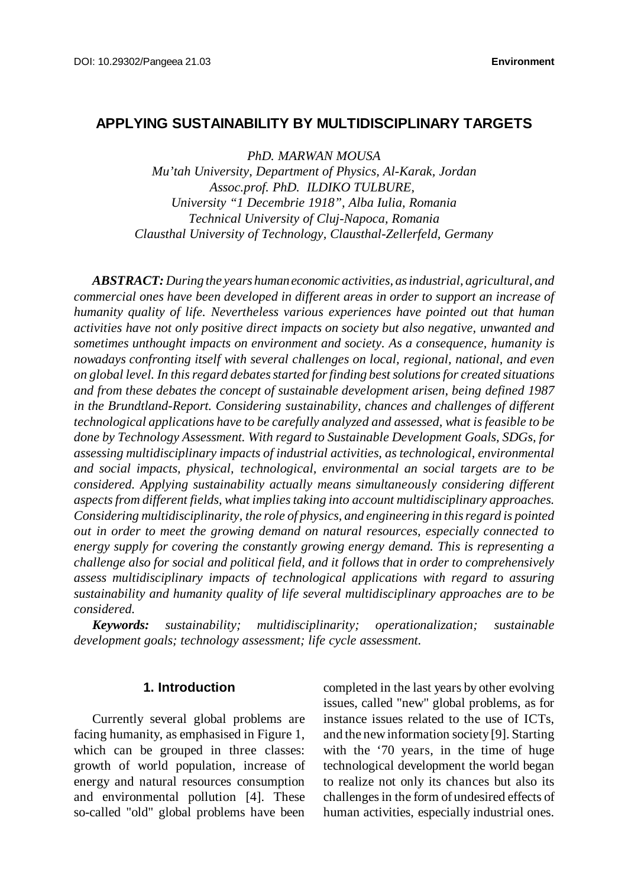# **APPLYING SUSTAINABILITY BY MULTIDISCIPLINARY TARGETS**

*PhD. MARWAN MOUSA*

*Mu'tah University, Department of Physics, Al-Karak, Jordan Assoc.prof. PhD. ILDIKO TULBURE, University "1 Decembrie 1918", Alba Iulia, Romania Technical University of Cluj-Napoca, Romania Clausthal University of Technology, Clausthal-Zellerfeld, Germany*

*ABSTRACT:During the years human economic activities, as industrial, agricultural, and commercial ones have been developed in different areas in order to support an increase of humanity quality of life. Nevertheless various experiences have pointed out that human activities have not only positive direct impacts on society but also negative, unwanted and sometimes unthought impacts on environment and society. As a consequence, humanity is nowadays confronting itself with several challenges on local, regional, national, and even on global level. In thisregard debatesstarted forfinding best solutionsfor created situations and from these debates the concept of sustainable development arisen, being defined 1987 in the Brundtland-Report. Considering sustainability, chances and challenges of different technological applications have to be carefully analyzed and assessed, what is feasible to be done by Technology Assessment. With regard to Sustainable Development Goals, SDGs, for assessing multidisciplinary impacts of industrial activities, as technological, environmental and social impacts, physical, technological, environmental an social targets are to be considered. Applying sustainability actually means simultaneously considering different aspectsfrom different fields, what impliestaking into account multidisciplinary approaches. Considering multidisciplinarity, the role of physics, and engineering in thisregard is pointed out in order to meet the growing demand on natural resources, especially connected to energy supply for covering the constantly growing energy demand. This is representing a challenge also for social and political field, and it follows that in order to comprehensively assess multidisciplinary impacts of technological applications with regard to assuring sustainability and humanity quality of life several multidisciplinary approaches are to be considered.*

*Keywords: sustainability; multidisciplinarity; operationalization; sustainable development goals; technology assessment; life cycle assessment.*

### **1. Introduction**

Currently several global problems are facing humanity, as emphasised in Figure 1, which can be grouped in three classes: growth of world population, increase of energy and natural resources consumption and environmental pollution [4]. These so-called "old" global problems have been

completed in the last years by other evolving issues, called "new" global problems, as for instance issues related to the use of ICTs, and the newinformation society [9]. Starting with the '70 years, in the time of huge technological development the world began to realize not only its chances but also its challengesin the form of undesired effects of human activities, especially industrial ones.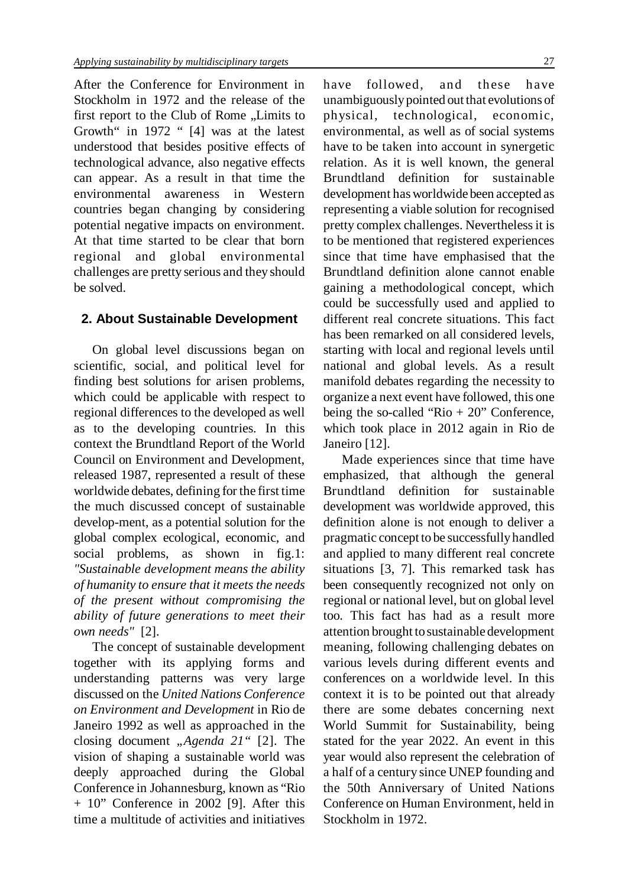After the Conference for Environment in Stockholm in 1972 and the release of the first report to the Club of Rome "Limits to Growth" in 1972 " [4] was at the latest understood that besides positive effects of technological advance, also negative effects can appear. As a result in that time the environmental awareness in Western countries began changing by considering potential negative impacts on environment. At that time started to be clear that born regional and global environmental challenges are pretty serious and they should be solved.

### **2. About Sustainable Development**

On global level discussions began on scientific, social, and political level for finding best solutions for arisen problems, which could be applicable with respect to regional differences to the developed as well as to the developing countries. In this context the Brundtland Report of the World Council on Environment and Development, released 1987, represented a result of these worldwide debates, defining for the first time the much discussed concept of sustainable develop-ment, as a potential solution for the global complex ecological, economic, and social problems, as shown in fig.1: *"Sustainable development means the ability of humanity to ensure that it meets the needs of the present without compromising the ability of future generations to meet their own needs"* [2].

The concept of sustainable development together with its applying forms and understanding patterns was very large discussed on the *United Nations Conference on Environment and Development* in Rio de Janeiro 1992 as well as approached in the closing document *"Agenda 21"* [2]. The vision of shaping a sustainable world was deeply approached during the Global Conference in Johannesburg, known as "Rio + 10" Conference in 2002 [9]. After this time a multitude of activities and initiatives

have followed, and these have unambiguouslypointed out that evolutions of physical, technological, economic, environmental, as well as of social systems have to be taken into account in synergetic relation. As it is well known, the general Brundtland definition for sustainable development hasworldwide been accepted as representing a viable solution for recognised pretty complex challenges. Neverthelessit is to be mentioned that registered experiences since that time have emphasised that the Brundtland definition alone cannot enable gaining a methodological concept, which could be successfully used and applied to different real concrete situations. This fact has been remarked on all considered levels. starting with local and regional levels until national and global levels. As a result manifold debates regarding the necessity to organize a next event have followed, this one being the so-called "Rio + 20" Conference, which took place in 2012 again in Rio de Janeiro [12].

Made experiences since that time have emphasized, that although the general Brundtland definition for sustainable development was worldwide approved, this definition alone is not enough to deliver a pragmatic concept to be successfullyhandled and applied to many different real concrete situations [3, 7]. This remarked task has been consequently recognized not only on regional or national level, but on global level too. This fact has had as a result more attention brought tosustainable development meaning, following challenging debates on various levels during different events and conferences on a worldwide level. In this context it is to be pointed out that already there are some debates concerning next World Summit for Sustainability, being stated for the year 2022. An event in this year would also represent the celebration of a half of a century since UNEP founding and the 50th Anniversary of United Nations Conference on Human Environment, held in Stockholm in 1972.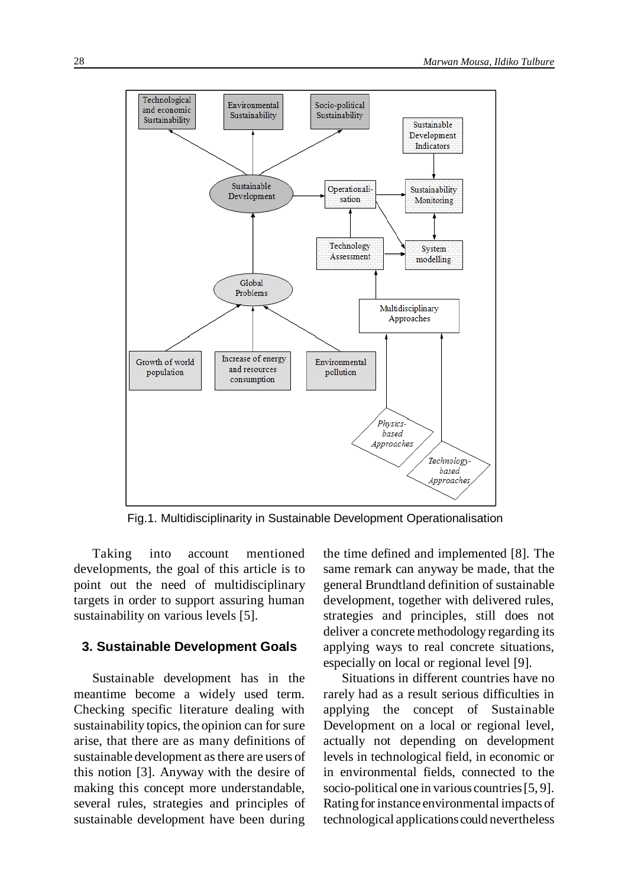

Fig.1. Multidisciplinarity in Sustainable Development Operationalisation

Taking into account mentioned developments, the goal of this article is to point out the need of multidisciplinary targets in order to support assuring human sustainability on various levels [5].

### **3. Sustainable Development Goals**

Sustainable development has in the meantime become a widely used term. Checking specific literature dealing with sustainability topics, the opinion can for sure arise, that there are as many definitions of sustainable development asthere are users of this notion [3]. Anyway with the desire of making this concept more understandable, several rules, strategies and principles of sustainable development have been during

the time defined and implemented [8]. The same remark can anyway be made, that the general Brundtland definition of sustainable development, together with delivered rules, strategies and principles, still does not deliver a concrete methodology regarding its applying ways to real concrete situations, especially on local or regional level [9].

Situations in different countries have no rarely had as a result serious difficulties in applying the concept of Sustainable Development on a local or regional level, actually not depending on development levels in technological field, in economic or in environmental fields, connected to the socio-political one in various countries [5, 9]. Rating for instance environmental impacts of technological applications could nevertheless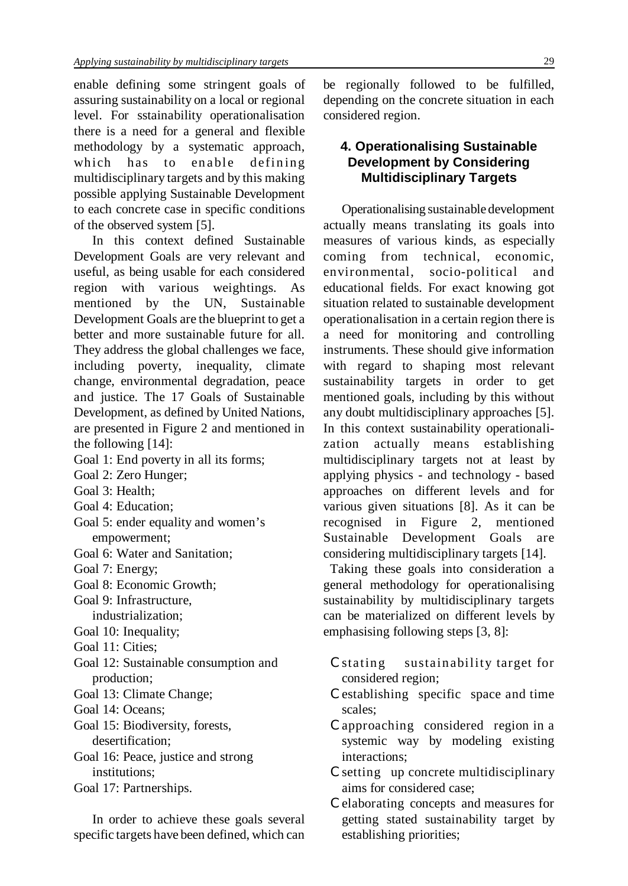enable defining some stringent goals of assuring sustainability on a local or regional level. For sstainability operationalisation there is a need for a general and flexible methodology by a systematic approach, which has to enable defining multidisciplinary targets and by this making possible applying Sustainable Development to each concrete case in specific conditions of the observed system [5].

In this context defined Sustainable Development Goals are very relevant and useful, as being usable for each considered region with various weightings. As mentioned by the UN, Sustainable Development Goals are the blueprint to get a better and more sustainable future for all. They address the global challenges we face, including poverty, inequality, climate change, environmental degradation, peace and justice. The 17 Goals of Sustainable Development, as defined by United Nations, are presented in Figure 2 and mentioned in the following [14]:

- Goal 1: End poverty in all its forms;
- Goal 2: Zero Hunger;
- Goal 3: Health;
- Goal 4: Education;
- Goal 5: ender equality and women's empowerment;
- Goal 6: Water and Sanitation;
- Goal 7: Energy;
- Goal 8: Economic Growth;
- Goal 9: Infrastructure, industrialization;
- Goal 10: Inequality;
- Goal 11: Cities;
- Goal 12: Sustainable consumption and production;
- Goal 13: Climate Change;
- Goal 14: Oceans;
- Goal 15: Biodiversity, forests, desertification;
- Goal 16: Peace, justice and strong institutions;
- Goal 17: Partnerships.

In order to achieve these goals several specific targets have been defined, which can be regionally followed to be fulfilled, depending on the concrete situation in each considered region.

# **4. Operationalising Sustainable Development by Considering Multidisciplinary Targets**

Operationalising sustainable development actually means translating its goals into measures of various kinds, as especially coming from technical, economic, environmental, socio-political and educational fields. For exact knowing got situation related to sustainable development operationalisation in a certain region there is a need for monitoring and controlling instruments. These should give information with regard to shaping most relevant sustainability targets in order to get mentioned goals, including by this without any doubt multidisciplinary approaches [5]. In this context sustainability operationalization actually means establishing multidisciplinary targets not at least by applying physics - and technology - based approaches on different levels and for various given situations [8]. As it can be recognised in Figure 2, mentioned Sustainable Development Goals are considering multidisciplinary targets [14].

Taking these goals into consideration a general methodology for operationalising sustainability by multidisciplinary targets can be materialized on different levels by emphasising following steps [3, 8]:

- 7 stating sustainability target for considered region;
- 7 establishing specific space and time scales;
- 7 approaching considered region in a systemic way by modeling existing interactions;
- 7 setting up concrete multidisciplinary aims for considered case;
- 7 elaborating concepts and measures for getting stated sustainability target by establishing priorities;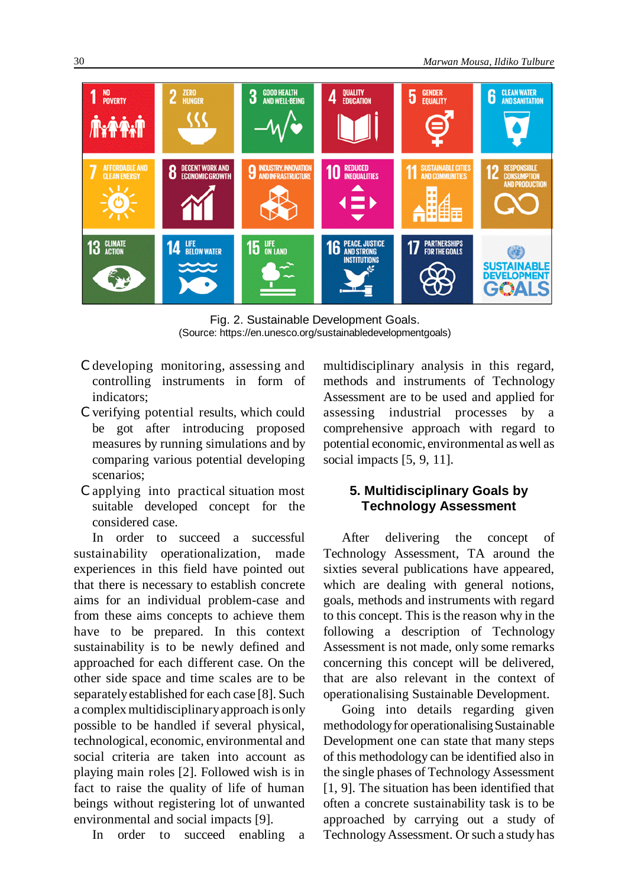

Fig. 2. Sustainable Development Goals. (Source: https://en.unesco.org/sustainabledevelopmentgoals)

- 7 developing monitoring, assessing and controlling instruments in form of indicators;
- 7 verifying potential results, which could be got after introducing proposed measures by running simulations and by comparing various potential developing scenarios;
- 7 applying into practical situation most suitable developed concept for the considered case.

In order to succeed a successful sustainability operationalization, made experiences in this field have pointed out that there is necessary to establish concrete aims for an individual problem-case and from these aims concepts to achieve them have to be prepared. In this context sustainability is to be newly defined and approached for each different case. On the other side space and time scales are to be separatelyestablished for each case [8]. Such a complex multidisciplinary approach is only possible to be handled if several physical, technological, economic, environmental and social criteria are taken into account as playing main roles [2]. Followed wish is in fact to raise the quality of life of human beings without registering lot of unwanted environmental and social impacts [9].

In order to succeed enabling a

multidisciplinary analysis in this regard, methods and instruments of Technology Assessment are to be used and applied for assessing industrial processes by a comprehensive approach with regard to potential economic, environmental aswell as social impacts [5, 9, 11].

## **5. Multidisciplinary Goals by Technology Assessment**

After delivering the concept of Technology Assessment, TA around the sixties several publications have appeared, which are dealing with general notions, goals, methods and instruments with regard to this concept. This is the reason why in the following a description of Technology Assessment is not made, only some remarks concerning this concept will be delivered, that are also relevant in the context of operationalising Sustainable Development.

Going into details regarding given methodologyfor operationalising Sustainable Development one can state that many steps of this methodology can be identified also in the single phases of Technology Assessment [1, 9]. The situation has been identified that often a concrete sustainability task is to be approached by carrying out a study of Technology Assessment. Or such a study has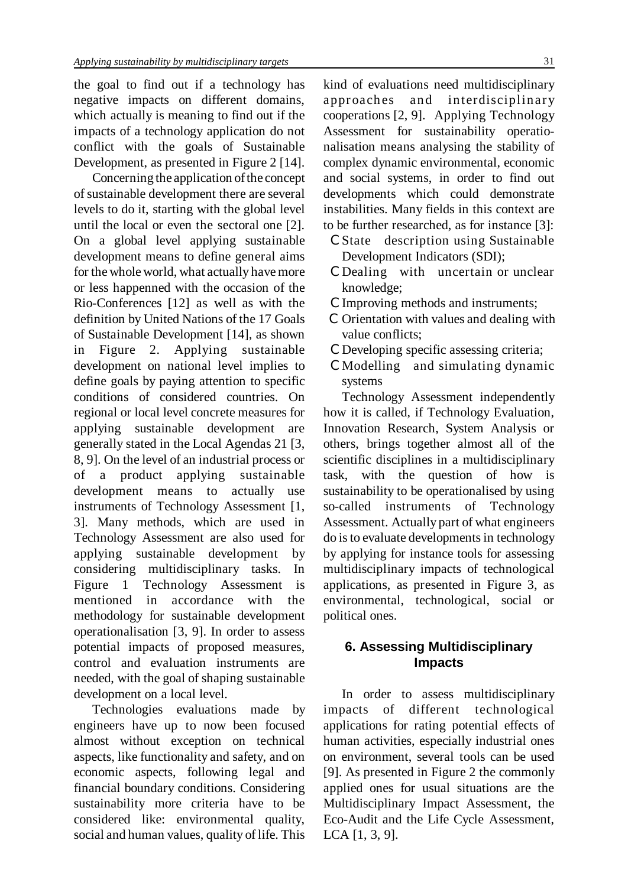the goal to find out if a technology has negative impacts on different domains, which actually is meaning to find out if the impacts of a technology application do not conflict with the goals of Sustainable Development, as presented in Figure 2 [14].

Concerning the application of the concept of sustainable development there are several levels to do it, starting with the global level until the local or even the sectoral one [2]. On a global level applying sustainable development means to define general aims for the whole world, what actually have more or less happenned with the occasion of the Rio-Conferences [12] as well as with the definition by United Nations of the 17 Goals of Sustainable Development [14], as shown in Figure 2. Applying sustainable development on national level implies to define goals by paying attention to specific conditions of considered countries. On regional or local level concrete measures for applying sustainable development are generally stated in the Local Agendas 21 [3, 8, 9]. On the level of an industrial process or of a product applying development means to actually use instruments of Technology Assessment [1, 3]. Many methods, which are used in Technology Assessment are also used for applying sustainable development by considering multidisciplinary tasks. In Figure 1 Technology Assessment is mentioned in accordance with the methodology for sustainable development operationalisation [3, 9]. In order to assess potential impacts of proposed measures, control and evaluation instruments are needed, with the goal of shaping sustainable development on a local level.

Technologies evaluations made by engineers have up to now been focused almost without exception on technical aspects, like functionality and safety, and on economic aspects, following legal and financial boundary conditions. Considering sustainability more criteria have to be considered like: environmental quality, social and human values, quality of life. This kind of evaluations need multidisciplinary approaches and interdisciplinary cooperations [2, 9]. Applying Technology Assessment for sustainability operationalisation means analysing the stability of complex dynamic environmental, economic and social systems, in order to find out developments which could demonstrate instabilities. Many fields in this context are to be further researched, as for instance [3]:

- 7 State description using Sustainable Development Indicators (SDI);
- 7 Dealing with uncertain or unclear knowledge;
- &Improving methods and instruments;
- 7 Orientation with values and dealing with value conflicts:
- 7 Developing specific assessing criteria;
- 7 Modelling and simulating dynamic systems

Technology Assessment independently how it is called, if Technology Evaluation, Innovation Research, System Analysis or others, brings together almost all of the scientific disciplines in a multidisciplinary task, with the question of how sustainability to be operationalised by using so-called instruments of Technology Assessment. Actually part of what engineers do is to evaluate developments in technology by applying for instance tools for assessing multidisciplinary impacts of technological applications, as presented in Figure 3, as environmental, technological, social or political ones.

### **6. Assessing Multidisciplinary Impacts**

In order to assess multidisciplinary impacts of different technological applications for rating potential effects of human activities, especially industrial ones on environment, several tools can be used [9]. As presented in Figure 2 the commonly applied ones for usual situations are the Multidisciplinary Impact Assessment, the Eco-Audit and the Life Cycle Assessment, LCA [1, 3, 9].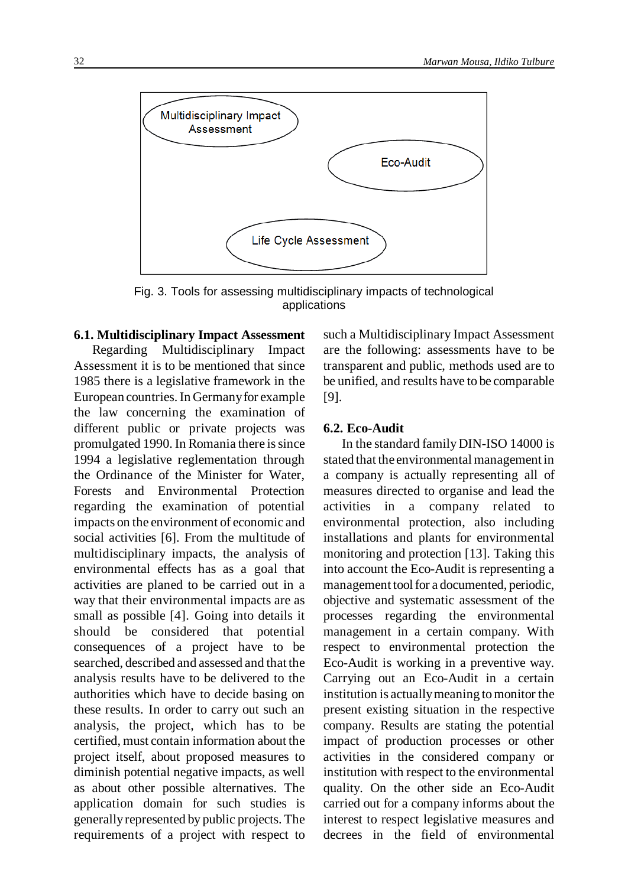

Fig. 3. Tools for assessing multidisciplinary impacts of technological applications

### **6.1. Multidisciplinary Impact Assessment**

Regarding Multidisciplinary Impact Assessment it is to be mentioned that since 1985 there is a legislative framework in the European countries. In Germany for example the law concerning the examination of different public or private projects was promulgated 1990. In Romania there is since 1994 a legislative reglementation through the Ordinance of the Minister for Water, Forests and Environmental Protection regarding the examination of potential impacts on the environment of economic and social activities [6]. From the multitude of multidisciplinary impacts, the analysis of environmental effects has as a goal that activities are planed to be carried out in a way that their environmental impacts are as small as possible [4]. Going into details it should be considered that potential consequences of a project have to be searched, described and assessed and that the analysis results have to be delivered to the authorities which have to decide basing on these results. In order to carry out such an analysis, the project, which has to be certified, must contain information about the project itself, about proposed measures to diminish potential negative impacts, as well as about other possible alternatives. The application domain for such studies is generallyrepresented by public projects. The requirements of a project with respect to

such a Multidisciplinary Impact Assessment are the following: assessments have to be transparent and public, methods used are to be unified, and results have to be comparable [9].

#### **6.2. Eco-Audit**

In the standard family DIN-ISO 14000 is stated that the environmental management in a company is actually representing all of measures directed to organise and lead the activities in a company related to environmental protection, also including installations and plants for environmental monitoring and protection [13]. Taking this into account the Eco-Audit is representing a management tool for a documented, periodic, objective and systematic assessment of the processes regarding the environmental management in a certain company. With respect to environmental protection the Eco-Audit is working in a preventive way. Carrying out an Eco-Audit in a certain institution is actually meaning to monitor the present existing situation in the respective company. Results are stating the potential impact of production processes or other activities in the considered company or institution with respect to the environmental quality. On the other side an Eco-Audit carried out for a company informs about the interest to respect legislative measures and decrees in the field of environmental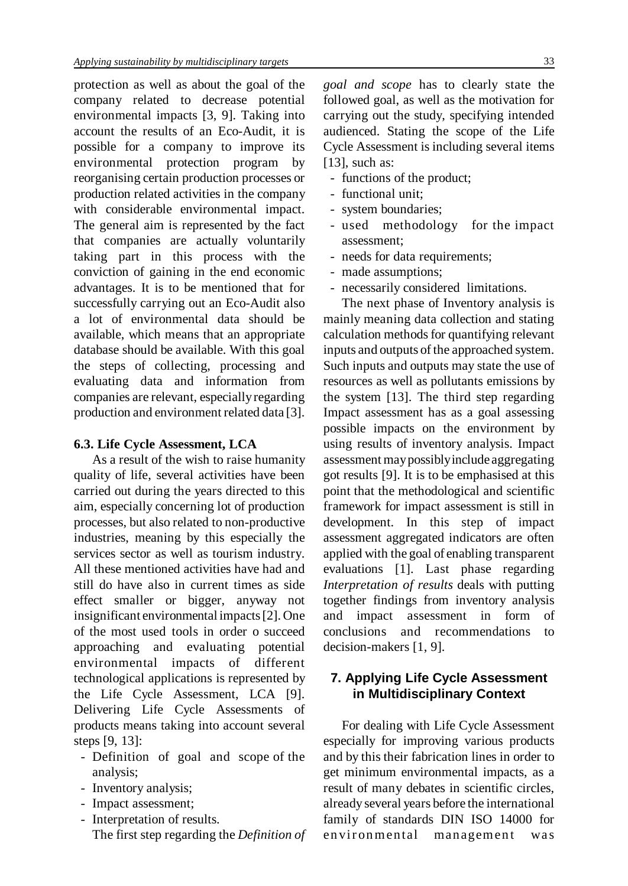protection as well as about the goal of the company related to decrease potential environmental impacts [3, 9]. Taking into account the results of an Eco-Audit, it is possible for a company to improve its environmental protection program by reorganising certain production processes or production related activities in the company with considerable environmental impact. The general aim is represented by the fact that companies are actually voluntarily taking part in this process with the conviction of gaining in the end economic advantages. It is to be mentioned that for successfully carrying out an Eco-Audit also a lot of environmental data should be available, which means that an appropriate database should be available. With this goal the steps of collecting, processing and evaluating data and information from companies are relevant, especiallyregarding production and environment related data [3].

#### **6.3. Life Cycle Assessment, LCA**

As a result of the wish to raise humanity quality of life, several activities have been carried out during the years directed to this aim, especially concerning lot of production processes, but also related to non-productive industries, meaning by this especially the services sector as well as tourism industry. All these mentioned activities have had and still do have also in current times as side effect smaller or bigger, anyway not insignificant environmental impacts [2]. One of the most used tools in order o succeed approaching and evaluating potential environmental impacts of different technological applications is represented by the Life Cycle Assessment, LCA [9]. Delivering Life Cycle Assessments of products means taking into account several steps [9, 13]:

- Definition of goal and scope of the analysis;
- Inventory analysis;
- Impact assessment;
- Interpretation of results. The first step regarding the *Definition of*

*goal and scope* has to clearly state the followed goal, as well as the motivation for carrying out the study, specifying intended audienced. Stating the scope of the Life Cycle Assessment is including several items [13], such as:

- functions of the product;
- functional unit;
- system boundaries;
- used methodology for the impact assessment;
- needs for data requirements;
- made assumptions;
- necessarily considered limitations.

The next phase of Inventory analysis is mainly meaning data collection and stating calculation methods for quantifying relevant inputs and outputs of the approached system. Such inputs and outputs may state the use of resources as well as pollutants emissions by the system [13]. The third step regarding Impact assessment has as a goal assessing possible impacts on the environment by using results of inventory analysis. Impact assessment may possibly include aggregating got results [9]. It is to be emphasised at this point that the methodological and scientific framework for impact assessment is still in development. In this step of impact assessment aggregated indicators are often applied with the goal of enabling transparent evaluations [1]. Last phase regarding *Interpretation of results* deals with putting together findings from inventory analysis and impact assessment in form of conclusions and recommendations to decision-makers [1, 9].

## **7. Applying Life Cycle Assessment in Multidisciplinary Context**

For dealing with Life Cycle Assessment especially for improving various products and by this their fabrication lines in order to get minimum environmental impacts, as a result of many debates in scientific circles, already several years before the international family of standards DIN ISO 14000 for en vironmental management was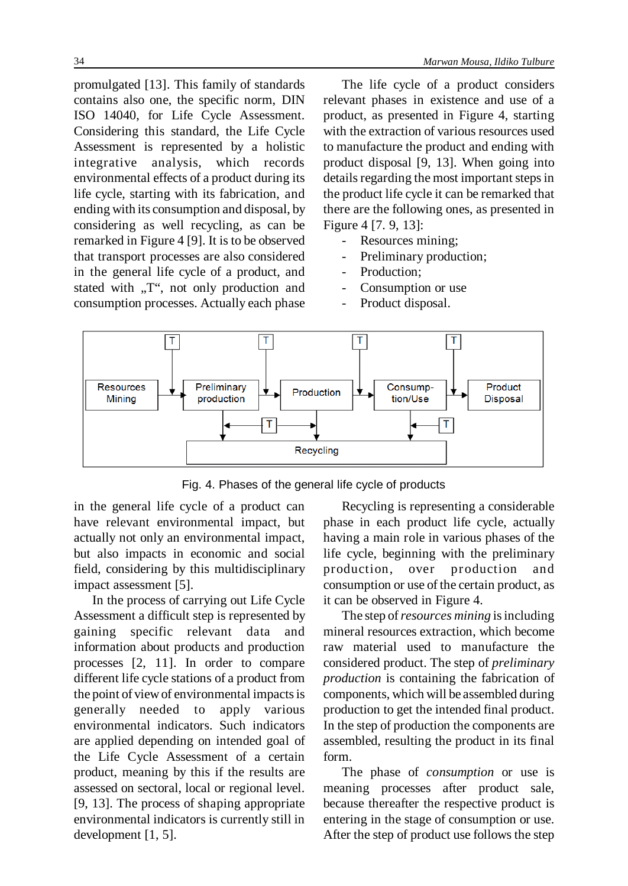promulgated [13]. This family of standards contains also one, the specific norm, DIN ISO 14040, for Life Cycle Assessment. Considering this standard, the Life Cycle Assessment is represented by a holistic integrative analysis, which records environmental effects of a product during its life cycle, starting with its fabrication, and ending with its consumption and disposal, by considering as well recycling, as can be remarked in Figure 4 [9]. It is to be observed that transport processes are also considered in the general life cycle of a product, and stated with  $T''$ , not only production and consumption processes. Actually each phase

The life cycle of a product considers relevant phases in existence and use of a product, as presented in Figure 4, starting with the extraction of various resources used to manufacture the product and ending with product disposal [9, 13]. When going into details regarding the most important steps in the product life cycle it can be remarked that there are the following ones, as presented in Figure 4 [7. 9, 13]:

- Resources mining;
- Preliminary production;
- Production;
- Consumption or use
- Product disposal.



Fig. 4. Phases of the general life cycle of products

in the general life cycle of a product can have relevant environmental impact, but actually not only an environmental impact, but also impacts in economic and social field, considering by this multidisciplinary impact assessment [5].

In the process of carrying out Life Cycle Assessment a difficult step is represented by gaining specific relevant data and information about products and production processes [2, 11]. In order to compare different life cycle stations of a product from the point of view of environmental impacts is generally needed to apply various environmental indicators. Such indicators are applied depending on intended goal of the Life Cycle Assessment of a certain product, meaning by this if the results are assessed on sectoral, local or regional level. [9, 13]. The process of shaping appropriate environmental indicators is currently still in development [1, 5].

Recycling is representing a considerable phase in each product life cycle, actually having a main role in various phases of the life cycle, beginning with the preliminary production, over production and consumption or use of the certain product, as it can be observed in Figure 4.

The step of*resources mining* isincluding mineral resources extraction, which become raw material used to manufacture the considered product. The step of *preliminary production* is containing the fabrication of components, which will be assembled during production to get the intended final product. In the step of production the components are assembled, resulting the product in its final form.

The phase of *consumption* or use is meaning processes after product sale, because thereafter the respective product is entering in the stage of consumption or use. After the step of product use follows the step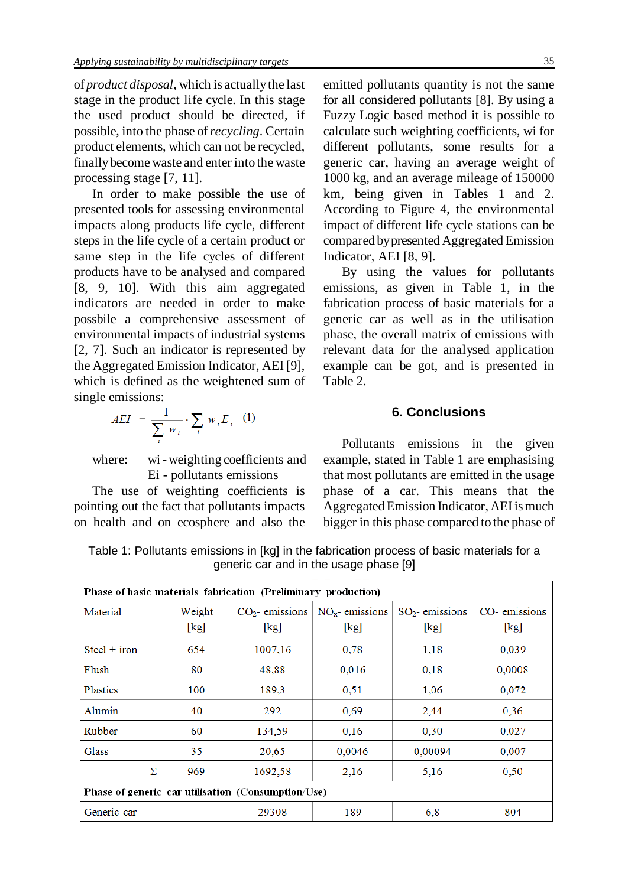of *product disposal*, which is actuallythe last stage in the product life cycle. In this stage the used product should be directed, if possible, into the phase of*recycling*. Certain product elements, which can not be recycled, finallybecome waste and enter into the waste processing stage [7, 11].

In order to make possible the use of presented tools for assessing environmental impacts along products life cycle, different steps in the life cycle of a certain product or same step in the life cycles of different products have to be analysed and compared [8, 9, 10]. With this aim aggregated indicators are needed in order to make possbile a comprehensive assessment of environmental impacts of industrial systems [2, 7]. Such an indicator is represented by the Aggregated Emission Indicator, AEI [9], which is defined as the weightened sum of single emissions:

$$
AEI = \frac{1}{\sum_{i} w_i} \cdot \sum_{i} w_i E_i \quad (1)
$$

where: wi-weighting coefficients and Ei - pollutants emissions

The use of weighting coefficients is pointing out the fact that pollutants impacts on health and on ecosphere and also the emitted pollutants quantity is not the same for all considered pollutants [8]. By using a Fuzzy Logic based method it is possible to calculate such weighting coefficients, wi for different pollutants, some results for a generic car, having an average weight of 1000 kg, and an average mileage of 150000 km, being given in Tables 1 and 2. According to Figure 4, the environmental impact of different life cycle stations can be compared by presented Aggregated Emission Indicator, AEI [8, 9].

By using the values for pollutants emissions, as given in Table 1, in the fabrication process of basic materials for a generic car as well as in the utilisation phase, the overall matrix of emissions with relevant data for the analysed application example can be got, and is presented in Table 2.

## **6. Conclusions**

Pollutants emissions in the given example, stated in Table 1 are emphasising that most pollutants are emitted in the usage phase of a car. This means that the AggregatedEmission Indicator, AEI is much bigger in this phase compared to the phase of

| Phase of basic materials fabrication (Preliminary production) |                |                           |                           |                           |                                        |  |  |  |  |
|---------------------------------------------------------------|----------------|---------------------------|---------------------------|---------------------------|----------------------------------------|--|--|--|--|
| Material                                                      | Weight<br>[kg] | $CO2$ - emissions<br>[kg] | $NOx$ - emissions<br>[kg] | $SO2$ - emissions<br>[kg] | CO-emissions<br>$\lfloor \log \rfloor$ |  |  |  |  |
| $Steel + iron$                                                | 654            | 1007,16                   | 0.78                      | 1,18                      | 0,039                                  |  |  |  |  |
| Flush                                                         | 80             | 48,88                     | 0,016                     | 0,18                      | 0,0008                                 |  |  |  |  |
| <b>Plastics</b>                                               | 100            | 189,3                     | 0,51                      | 1,06                      | 0,072                                  |  |  |  |  |
| Alumin.                                                       | 40             | 292                       | 0.69                      | 2,44                      | 0.36                                   |  |  |  |  |
| Rubber                                                        | 60             | 134,59                    | 0,16                      | 0.30                      | 0,027                                  |  |  |  |  |
| <b>Glass</b>                                                  | 35             | 20,65                     | 0,0046                    | 0,00094                   | 0,007                                  |  |  |  |  |
| Σ                                                             | 969            | 1692,58                   | 2,16                      | 5,16                      | 0,50                                   |  |  |  |  |
| Phase of generic car utilisation (Consumption/Use)            |                |                           |                           |                           |                                        |  |  |  |  |
| Generic car                                                   |                | 29308                     | 189                       | 6,8                       | 804                                    |  |  |  |  |

Table 1: Pollutants emissions in [kg] in the fabrication process of basic materials for a generic car and in the usage phase [9]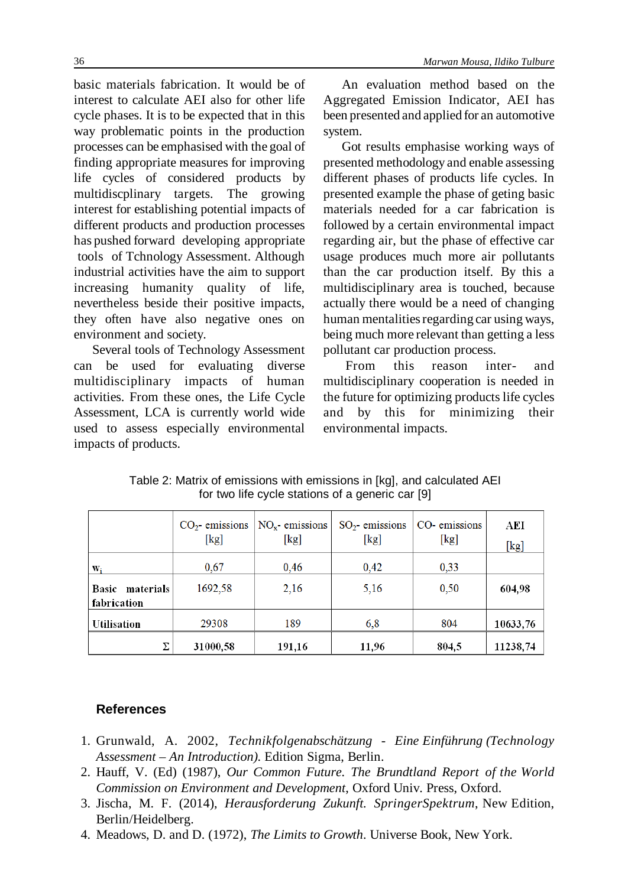basic materials fabrication. It would be of interest to calculate AEI also for other life cycle phases. It is to be expected that in this way problematic points in the production processes can be emphasised with the goal of finding appropriate measures for improving life cycles of considered products by multidiscplinary targets. The growing interest for establishing potential impacts of different products and production processes has pushed forward developing appropriate tools of Tchnology Assessment. Although industrial activities have the aim to support increasing humanity quality of life, nevertheless beside their positive impacts, they often have also negative ones on environment and society.

Several tools of Technology Assessment can be used for evaluating diverse multidisciplinary impacts of human activities. From these ones, the Life Cycle Assessment, LCA is currently world wide used to assess especially environmental impacts of products.

An evaluation method based on the Aggregated Emission Indicator, AEI has been presented and applied for an automotive system.

Got results emphasise working ways of presented methodology and enable assessing different phases of products life cycles. In presented example the phase of geting basic materials needed for a car fabrication is followed by a certain environmental impact regarding air, but the phase of effective car usage produces much more air pollutants than the car production itself. By this a multidisciplinary area is touched, because actually there would be a need of changing human mentalities regarding car using ways, being much more relevant than getting a less pollutant car production process.

From this reason inter- and multidisciplinary cooperation is needed in the future for optimizing products life cycles and by this for minimizing their environmental impacts.

|                                | $CO2$ - emissions<br>[kg] | $NOx$ - emissions<br>[kg] | $SO_2$ - emissions<br>[kg] | CO-emissions<br>[kg] | AEI<br>[kg] |
|--------------------------------|---------------------------|---------------------------|----------------------------|----------------------|-------------|
| Wi                             | 0.67                      | 0.46                      | 0.42                       | 0.33                 |             |
| Basic materials<br>fabrication | 1692,58                   | 2,16                      | 5,16                       | 0,50                 | 604,98      |
| Utilisation                    | 29308                     | 189                       | 6.8                        | 804                  | 10633,76    |
| Σ                              | 31000.58                  | 191,16                    | 11,96                      | 804,5                | 11238,74    |

Table 2: Matrix of emissions with emissions in [kg], and calculated AEI for two life cycle stations of a generic car [9]

## **References**

- 1. Grunwald, A. 2002, *Technikfolgenabschätzung Eine Einführung (Technology Assessment – An Introduction)*. Edition Sigma, Berlin.
- 2. Hauff, V. (Ed) (1987), *Our Common Future. The Brundtland Report of the World Commission on Environment and Development*, Oxford Univ. Press, Oxford.
- 3. Jischa, M. F. (2014), *Herausforderung Zukunft. SpringerSpektrum*, New Edition, Berlin/Heidelberg.
- 4. Meadows, D. and D. (1972), *The Limits to Growth*. Universe Book, New York.